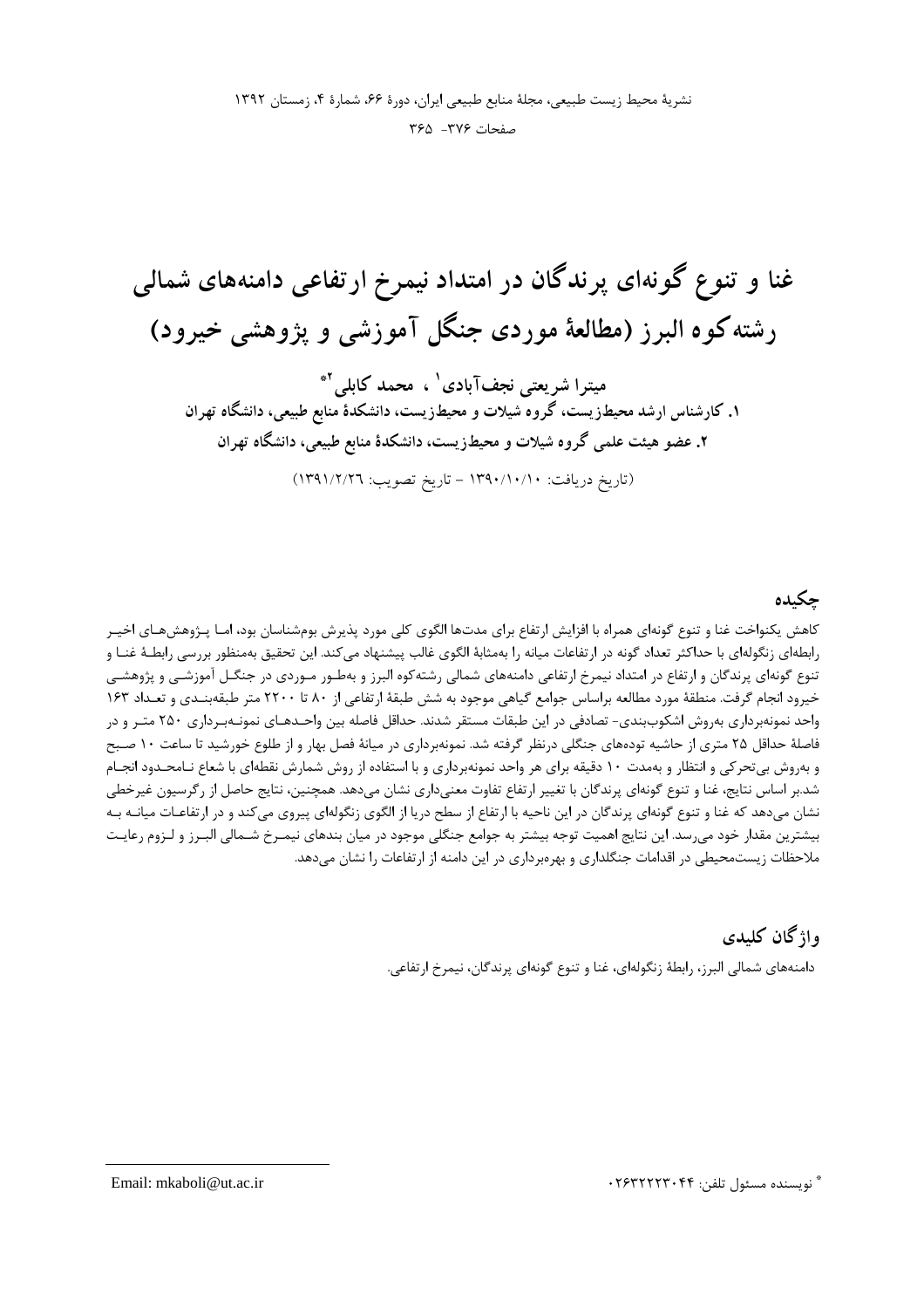نشرية محيط زيست طبيعي، مجلة منابع طبيعي ايران، دورة ۶۶، شمارة ۴، زمستان ١٣٩٢ صفحات ٣٧۶- ٣۶۵

غنا و تنوع گونهای پرندگان در امتداد نیمرخ ارتفاعی دامنههای شمالی رشته کوه البرز (مطالعهٔ موردی جنگل آموزشی و پژوهشی خیرود)

میترا شریعتی نجفآبادی ` ، محمد کابلی <sup>۲</sup>\* ۱. کارشناس ارشد محیطزیست، گروه ًشیلات و محیطزیست، دانشکدهٔ منابع طبیعی، دانشگاه تهران ۲. عضو هیئت علمی گروه شیلات و محیطزیست، دانشکدهٔ منابع طبیعی، دانشگاه تهران

(تاريخ دريافت: ١٣٩٠/١٠/١٠ - تاريخ تصويب: ١٣٩١/٢/٢٦)

## جكيده

کاهش یکنواخت غنا و تنوع گونهای همراه با افزایش ارتفاع برای مدتها الگوی کلی مورد پذیرش بومشناسان بود، امـا پـژوهشهـای اخیـر رابطهای زنگولهای با حداکثر تعداد گونه در ارتفاعات میانه را بهمثابهٔ الگوی غالب پیشنهاد میکند. این تحقیق بهمنظور بررسی رابطـهٔ غنـا و تنوع گونهای پرندگان و ارتفاع در امتداد نیمرخ ارتفاعی دامنههای شمالی رشته کوه البرز و بهطـور مـوردی در جنگـل آموزشـی و پژوهشـی خیرود انجام گرفت. منطقهٔ مورد مطالعه براساس جوامع گیاهی موجود به شش طبقهٔ ارتفاعی از ۸۰ تا ۲۲۰۰ متر طبقهبنـدی و تعـداد ۱۶۳ واحد نمونهبرداری بهروش اشکوببندی- تصادفی در این طبقات مستقر شدند. حداقل فاصله بین واحـدهـای نمونـهبـرداری ۲۵۰ متـر و در فاصلهٔ حداقل ۲۵ متری از حاشیه تودههای جنگلی درنظر گرفته شد. نمونهبرداری در میانهٔ فصل بهار و از طلوع خورشید تا ساعت ۱۰ صبح و بهروش بیتحرکی و انتظار و بهمدت ۱۰ دقیقه برای هر واحد نمونهبرداری و با استفاده از روش شمارش نقطهای با شعاع نـامحـدود انجـام شد.بر اساس نتايج، غنا و تنوع گونهاي پرندگان با تغيير ارتفاع تفاوت معنىداري نشان مىدهد. همچنين، نتايج حاصل از رگرسيون غيرخطي نشان میدهد که غنا و تنوع گونهای پرندگان در این ناحیه با ارتفاع از سطح دریا از الگوی زنگولهای پیروی میکند و در ارتفاعـات میانــه بــه بیشترین مقدار خود می رسد. این نتایج اهمیت توجه بیشتر به جوامع جنگلی موجود در میان بندهای نیمـرخ شـمالی البـرز و لـزوم رعایـت ملاحظات زیستمحیطی در اقدامات جنگلداری و بهرهبرداری در این دامنه از ارتفاعات را نشان می دهد.

### واژگان کلیدی

دامنههای شمالی البرز، رابطهٔ زنگولهای، غنا و تنوع گونهای پرندگان، نیمرخ ارتفاعی.

\* نويسنده مسئول تلفن: ۲۶۳۲۲۲۳۰۴۴

Email: mkaboli@ut.ac.ir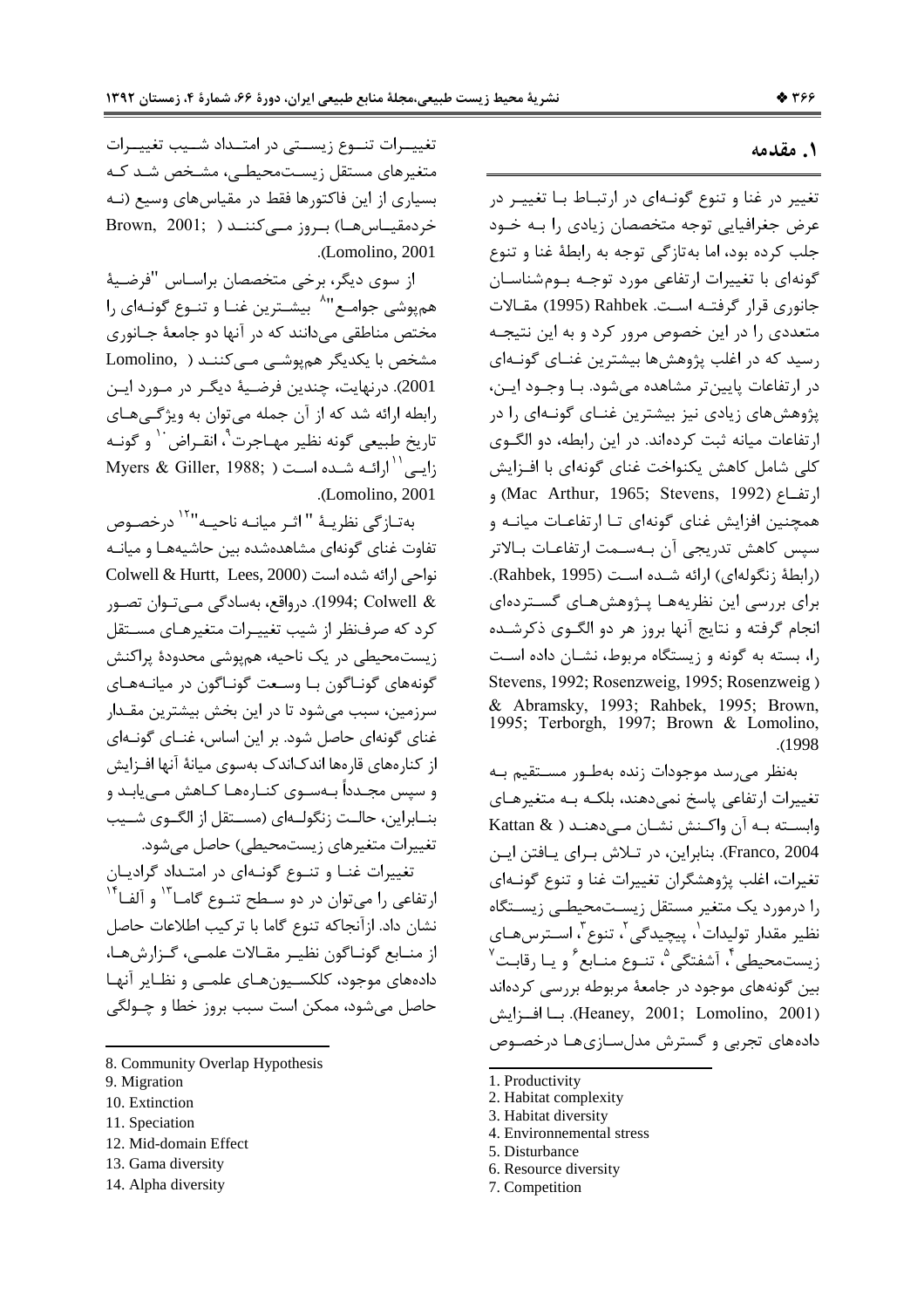#### ١. مقدمه

تغییر در غنا و تنوع گونـهای در ارتبـاط بـا تغییـر در عرض جغرافیایی توجه متخصصان زیادی را بـه خـود جلب کرده بود، اما بهتازگی توجه به رابطهٔ غنا و تنوع گونهای با تغییرات ارتفاعی مورد توجـه بـومشناسـان جانوری قرار گرفتـه اسـت. Rahbek (1995) مقـالات متعددی را در این خصوص مرور کرد و به این نتیجـه رسید که در اغلب پژوهشها بیشترین غنـای گونـهای در ارتفاعات پايين تر مشاهده مي شود. بـا وجــود ايــن، پژوهش های زیادی نیز بیشترین غنــای گونــهای را در ارتفاعات میانه ثبت کردهاند. در این رابطه، دو الگوی كلي شامل كاهش يكنواخت غناي گونهاي با افـزايش ارتفــاع (Mac Arthur, 1965; Stevens, 1992) و همچنین افزایش غنای گونهای تـا ارتفاعـات میانــه و سپس كاهش تدريجي آن بـهسـمت ارتفاعـات بـالاتر (رابطهٔ زنگولهای) ارائه شـده اسـت (Rahbek, 1995). برای بررسی این نظریههـا پـژوهشهـای گسـتردهای انجام گرفته و نتایج آنها بروز هر دو الگــوی ذکرشــده را، بسته به گونه و زیستگاه مربوط، نشـان داده اسـت Stevens, 1992; Rosenzweig, 1995; Rosenzweig) & Abramsky, 1993; Rahbek, 1995; Brown, 1995; Terborgh, 1997; Brown & Lomolino,  $.1998$ 

بەنظر مى سد موجودات زندە بەطـور مســتقيم بــه تغییرات ارتفاعی پاسخ نمی دهند، بلکـه بـه متغیرهـای وابسته به آن واكنش نشان مى دهنـد ( & Kattan Franco, 2004). بنابراین، در تـلاش بـرای پـافتن ایـن تغیرات، اغلب پژوهشگران تغییرات غنا و تنوع گونـهای را درمورد یک متغیر مستقل زیستمحیطـی زیسـتگاه نظیر مقدار تولیدات <sup>۱</sup>، پیچیدگی <sup>۲</sup>، تنوع <sup>۳</sup>، اســترسهـای ; يستمحيطي<sup>ء</sup>ُ، آشفتگي<sup>0</sup>، تنـوع منـابع <sup>6</sup>و بــا ,قايـت<sup>٧</sup> بین گونههای موجود در جامعهٔ مربوطه بررسی کردهاند (Heaney, 2001; Lomolino, 2001). با افيزايش دادههای تجربی و گسترش مدل سـازیهـا درخصـوص

- 2. Habitat complexity
- 3. Habitat diversity
- 4. Environnemental stress
- 5. Disturbance
- 6. Resource diversity
- 7. Competition

تغییـرات تنـوع زیسـتی در امتـداد شـیب تغییـرات متغیرهای مستقل زیستمحیطے، مشخص شد که بسیاری از این فاکتورها فقط در مقیاس های وسیع (نـه خردمقیـاس هـا) بـروز مـی کننــد ( Brown, 2001; .(Lomolino, 2001).

از سوی دیگر، برخی متخصصان براسـاس "فرضـیهٔ هميوشي جوامـع"^ بيشـترين غنـا و تنـوع گونـهاي را مختص مناطقی می دانند که در آنها دو جامعهٔ جـانوری مشخص با یکدیگر هم یوشے مے کننـد ( ,Lomolino 2001). درنهایت، چندین فرضـیهٔ دیگـر در مـورد ایـن رابطه ارائه شد که از آن جمله می توان به ویژگی های تاريخ طبيعي گونه نظير مهـاجرت<sup>٩</sup>، انقـراض<sup>١٠</sup> و گونــه Myers & Giller, 1988; ) ألبي<sup>\\ا</sup>رائيه شيده است (, .(Lomolino, 2001)

بەتـازگى نظريــهٔ "اثـر ميانــه ناحيــه"<sup>۱۲</sup> درخصــوص تفاوت غنای گونهای مشاهدهشده بین حاشیههـا و میانـه نواحي ارائه شده است (Colwell & Hurtt, Lees, 2000 & 1994; Colwell). درواقع، بەسادگى مے توان تصـور کرد که صرفنظر از شیب تغییـرات متغیرهـای مسـتقل زیستمحیطی در یک ناحیه، همیوشی محدودهٔ پراکنش گونههای گونـاگون بـا وسـعت گونـاگون در ميانـههـای سرزمین، سبب می شود تا در این بخش بیشترین مقـدار غنای گونهای حاصل شود. بر این اساس، غنـای گونـهای از کنارههای قارهها اندکاندک بهسوی میانهٔ آنها افـزایش و سپس مجـدداً بـهسـوی کنـارههـا کـاهش مـی بابـد و بنــابراين، حالــت زنگولــهاي (مســتقل از الگــوي شــيب تغییرات متغیرهای زیستمحیطی) حاصل می شود.

تغییرات غنـا و تنـوع گونـهای در امتـداد گرادیـان ارتفاعی را میتوان در دو سطح تنوع گاما<sup>۱۳</sup> و آلفا<sup>۱۴</sup> نشان داد. ازآنجاكه تنوع گاما با تركيب اطلاعات حاصل از منــابع گونــاگون نظيــر مقــالات علمــي، گــزارشهــا، دادههای موجود، کلکسیونهـای علمـی و نظـایر آنهـا حاصل مي شود، ممكن است سبب بروز خطا و چــولگي

- 8. Community Overlap Hypothesis
- 9. Migration
- 10. Extinction
- 11. Speciation
- 12. Mid-domain Effect
- 13. Gama diversity
- 14. Alpha diversity

<sup>1.</sup> Productivity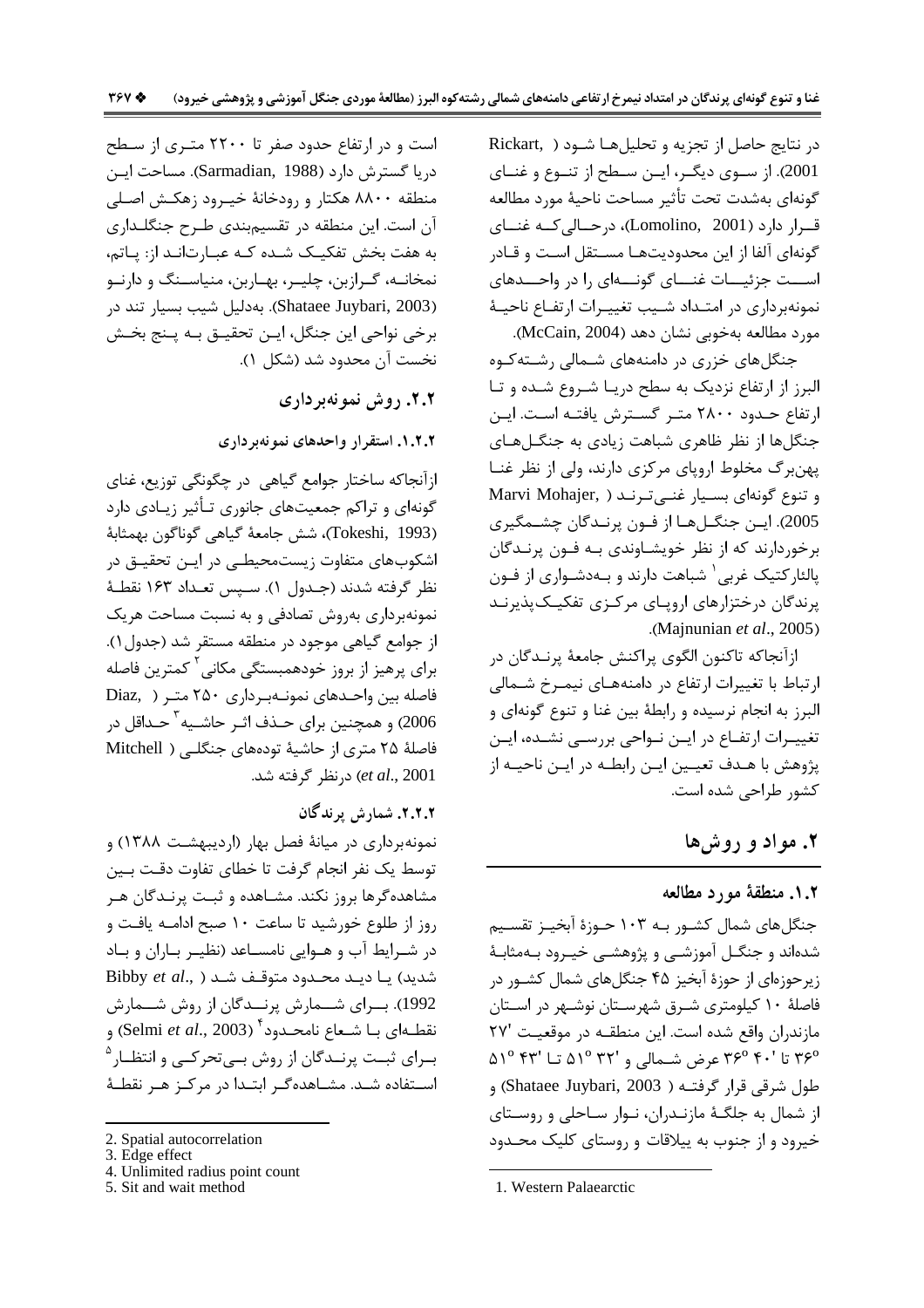در نتايج حاصل از تجزيه و تحليلها شود ( Rickart, 2001). از سوی دیگر، ایـن سـطح از تنـوع و غنـای گونهای بهشدت تحت تأثیر مساحت ناحیهٔ مورد مطالعه قــرار دارد (Lomolino, 2001)، درحــالی کــه غنــای گونهای آلفا از این محدودیتهـا مسـتقل اسـت و قـادر اســـت جزئیـــات غنـــای گونــــهای ۱٫ در واحـــدهای نمونهبرداری در امتـداد شـيب تغييـرات ارتفـاع ناحيـهٔ مورد مطالعه بهخوبي نشان دهد (McCain, 2004).

جنگلهای خزری در دامنههای شـمالی رشـته کـوه البرز از ارتفاع نزدیک به سطح دریـا شـروع شـده و تـا ارتفاع حـدود ۲۸۰۰ متـر گسـترش يافتـه اسـت. ايـن جنگلها از نظر ظاهری شباهت زیادی به جنگـلهـای پهنبرگ مخلوط اروپای مرکزی دارند، ولی از نظر غنـا Marvi Mohajer, ) وتنوع گونهای بسیار غنیترند 2005). ايــن جنگــلهــا از فــون پرنــدگان چشــمگيري برخوردارند که از نظر خویشـاوندی بـه فـون پرنـدگان پالئارکتیک غربی شباهت دارند و بـهدشـواری از فـون پرندگان درختزارهای اروپای مرکـزی تفکیـک<code>پذیرنـد</code> .(Majnunian et al., 2005)

ازآنجاكه تاكنون الگوي پراكنش جامعهٔ پرنـدگان در ارتباط با تغییرات ارتفاع در دامنههـای نیمـرخ شـمالی البرز به انجام نرسيده و رابطهٔ بين غنا و تنوع گونهاي و تغییـرات ارتفــاع در ایــن نــواحی بررســی نشــده، ایــن یژوهش با هـدف تعیـین ایـن رابطـه در ایـن ناحیـه از كشور طراحي شده است.

۲. مواد و روش ها

#### ٠.٢. منطقة مورد مطالعه

جنگلهای شمال کشـور بـه ۱۰۳ حـوزهٔ آبخیـز تقسـیم شدهاند و جنگــل آموزشــی و پژوهشــی خیــرود بــهمثابــهٔ زیر حوزهای از حوزهٔ آبخیز ۴۵ جنگلهای شمال کشـور در فاصلهٔ ۱۰ کیلومتری شـرق شهرسـتان نوشـهر در اسـتان مازندران واقع شده است. این منطقـه در موقعیـت '۲۷ ۳۶° تا '۴۰ °۳۶ عرض شمالی و '۳۲ °۵۱ تــا '۴۳ °۵۱ طول شرقی قرار گرفتــه ( Shataee Juybari, 2003) و از شمال به جلگـهٔ مازنـدران، نـوار سـاحلی و روسـتای خیرود و از جنوب به پیلاقات و روستای کلیک محـدود

است و در ارتفاع حدود صفر تا ۲۲۰۰ متـری از سـطح دريا گسترش دارد (Sarmadian, 1988). مساحت اين منطقه ۸۸۰۰ هکتار و رودخانهٔ خیـرود زهکـش اصـلی آن است. این منطقه در تقسیمبندی طـرح جنگلـداری به هفت بخش تفکیـک شـده کـه عبـارت|نـد از: پـاتم، نمخانــه، گــرازبن، چليــر، بهــاربن، منياســنگ و دارنــو (Shataee Juybari, 2003). بەدليل شيب بسيار تند در برخي نواحي اين جنگل، ايـن تحقيـق بـه پـنج بخـش نخست آن محدود شد (شکل ۱).

۲.۲. روش نمونهبرداری

۰۱.۲.۲ استقرار واحدهای نمونهبرداری

ازآنجاكه ساختار جوامع گياهي در چگونگي توزيع، غناي گونهای و تراکم جمعیتهای جانوری تـأثیر زیـادی دارد (Tokeshi, 1993)، شش جامعهٔ گیاهی گوناگون بهمثابهٔ اشکوبهای متفاوت زیستمحیطے در ایـن تحقیـق در نظر گرفته شدند (جـدول ۱). سـيس تعـداد ۱۶۳ نقطـهٔ نمونهبرداری بهروش تصادفی و به نسبت مساحت هریک از جوامع گیاهی موجود در منطقه مستقر شد (جدول ۱). برای پرهیز از بروز خودهمبستگی مکانی <sup>۲</sup> کمترین فاصله فاصله بین واحـدهای نمونـهبـرداری ۲۵۰ متـر ( .Diaz 2006) و همچنین برای حــذف اثــر حاشــیه <sup>۳</sup> حــداقل در فاصلهٔ ۲۵ متری از حاشیهٔ تودههای جنگلی ( Mitchell et al., 2001) درنظر گرفته شد.

### ٢.٢.٢. شمارش برندگان

نمونهبرداری در میانهٔ فصل بهار (اردیبهشت ۱۳۸۸) و توسط یک نفر انجام گرفت تا خطای تفاوت دقت بـین مشاهدهگرها بروز نکند. مشـاهده و ثبـت پرنـدگان هـر روز از طلوع خورشید تا ساعت ۱۰ صبح ادامـه یافـت و در شـرایط آب و هـوایی نامسـاعد (نظیـر بـاران و بـاد شدید) یا دیـد محـدود متوقـف شـد ( ,Bibby et al 1992). بسرای شسمارش پرنسدگان از روش شسمارش نقطـه|ى بــا شــعاع نامحــدود " (Selmi *et al.*, 2003) و بـرای ثبـت پرنــدگان از روش بــیتحرکــی و انتظــار<sup>۵</sup> استفاده شـد. مشـاهدهگـر ابتـدا در مركـز هـر نقطـهٔ

5. Sit and wait method

<sup>1.</sup> Western Palaearctic

<sup>2.</sup> Spatial autocorrelation

<sup>3.</sup> Edge effect

<sup>4.</sup> Unlimited radius point count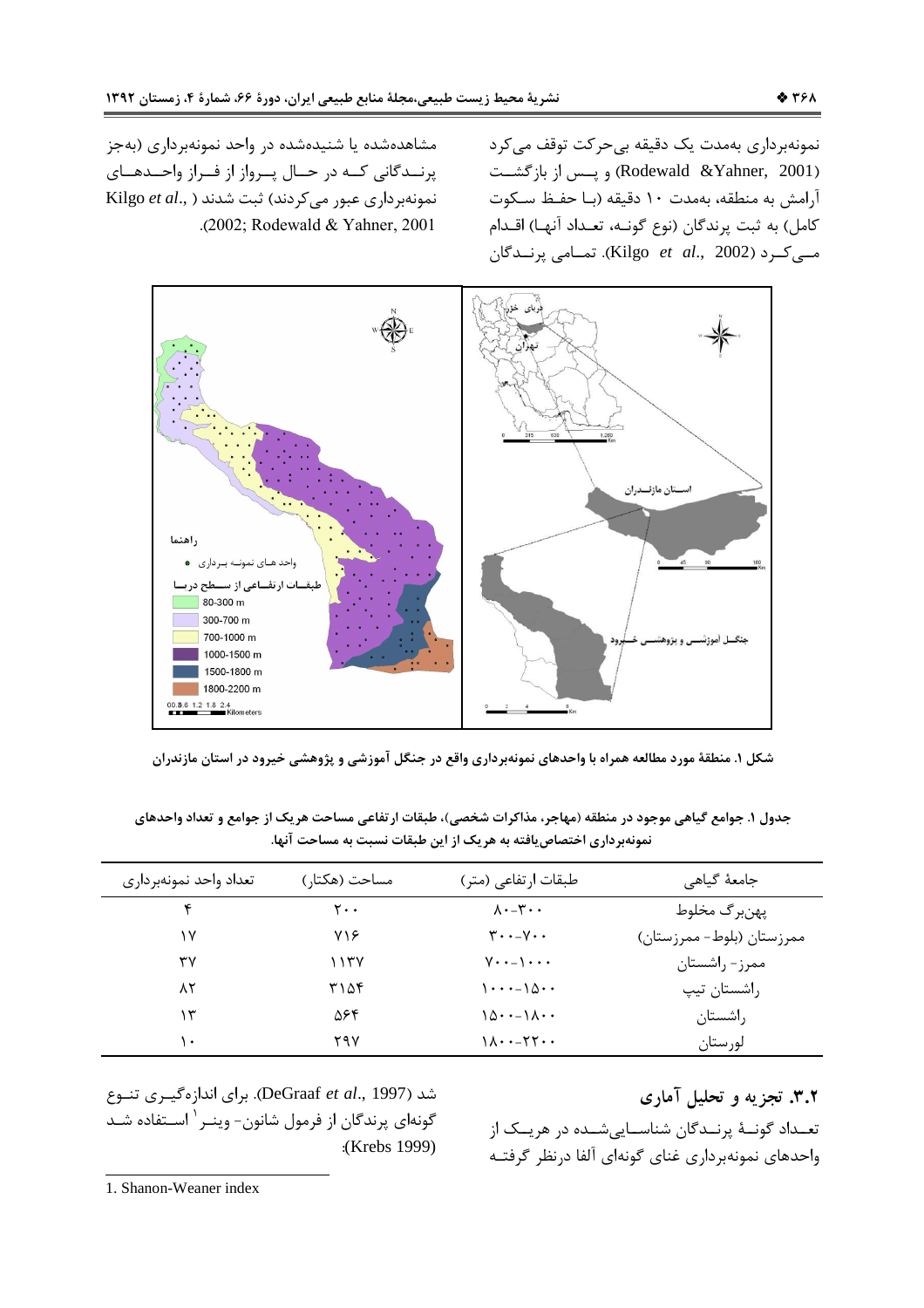نمونەبردارى بەمدت يک دقيقه بىحركت توقف مىكرد (Rodewald &Yahner, 2001) و پسس از بازگشـت آرامش به منطقه، بهمدت ۱۰ دقیقه (بـا حفـظ سـکوت كامل) به ثبت پرندگان (نوع گونـه، تعـداد آنهـا) اقـدام مے کرد (Kilgo et al., 2002). تمـامی پرنــدگان

مشاهدهشده یا شنیدهشده در واحد نمونهبرداری (بهجز پرنــدگانی کــه در حــال پــرواز از فــراز واحــدهــای نمونهبرداری عبور می کردند) ثبت شدند ( .Kilgo et al .(2002; Rodewald & Yahner, 2001



شکل ۱. منطقهٔ مورد مطالعه همراه با واحدهای نمونهبرداری واقع در جنگل آموزشی و پژوهشی خیرود در استان مازندران

جدول ۱. جوامع گیاهی موجود در منطقه (مهاجر، مذاکرات شخصی)، طبقات ارتفاعی مساحت هریک از جوامع و تعداد واحدهای نمونهبرداری اختصاص یافته به هر یک از این طبقات نسبت به مساحت آنها.

| تعداد واحد نمونهبرداري | مساحت (هکتار) | طبقات ارتفاعی (متر)                                         | جامعهٔ گیاهی              |
|------------------------|---------------|-------------------------------------------------------------|---------------------------|
| ۴                      | ۲۰۰           | $\lambda \cdot -\mathbf{y} \cdot \cdot$                     | پھنبر گ مخلوط             |
| ۱۷                     | ۷۱۶           | $\mathbf{y} \cdot \mathbf{y} - \mathbf{y} \cdot \mathbf{y}$ | ممرزستان (بلوط– ممرزستان) |
| ٣٧                     | ۱۱۳۷          | $V \cdot \cdot - \cdot \cdot$                               | ممرز- راشستان             |
| ۸۲                     | ۳۱۵۴          | $\cdot \cdot \cdot - \cdot \Delta \cdot \cdot$              | راشستان تیپ               |
| ۱۳                     | ۵۶۴           | $10 \cdots 10 \cdots$                                       | راشستان                   |
| ١٠                     | ۲۹۷           | $1\lambda \cdot -77 \cdot \cdot$                            | لورستان                   |

۳.۲. تجزیه و تحلیل آماری تعـداد گونــهٔ پرنــدگان شناســاییشــده در هریــک از واحدهاى نمونهبرداري غناي گونهاي آلفا درنظر گرفتـه

شد (DeGraaf et al., 1997). براي اندازهگيري تنوع گونهای پرندگان از فرمول شانون- وینـر <sup>۱</sup> اسـتفاده شـد :(Krebs 1999)

1. Shanon-Weaner index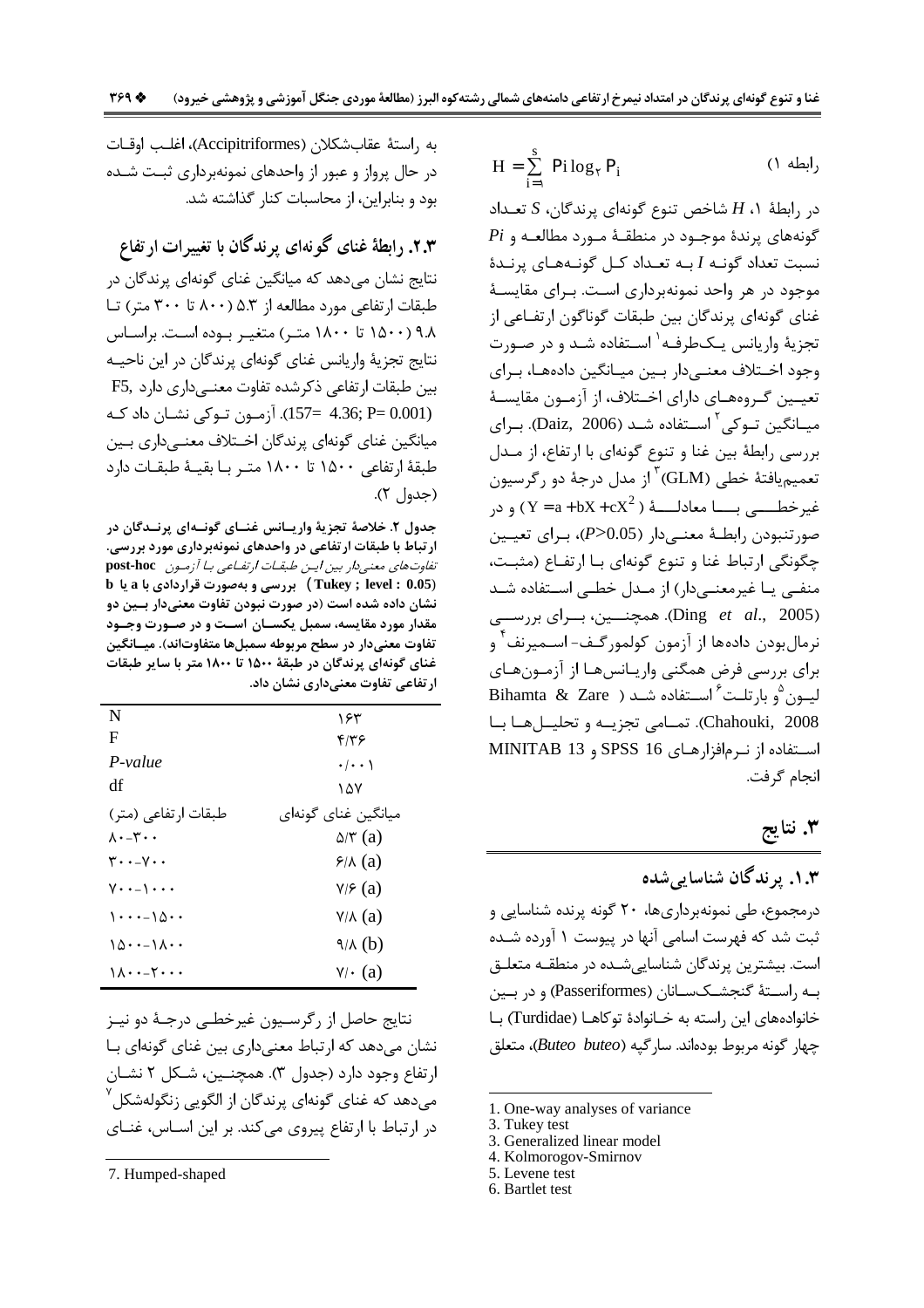$$
H = \sum_{i=1}^{s} Pi \log_{\gamma} P_{i}
$$
 (1)

در رابطهٔ ۱، H شاخص تنوع گونهای پرندگان، S تعـداد  $Pi$  گونههای پرندهٔ موجـود در منطقـهٔ مـورد مطالعـه و نسبت تعداد گونـه I بـه تعـداد كـل گونـههـاى پرنـدة موجود در هر واحد نمونهبرداری است. بـرای مقایسـهٔ غنای گونهای پرندگان بین طبقات گوناگون ارتفـاعی از تجزیهٔ واریانس یـکطرفـه<sup>۱</sup> اسـتفاده شـد و در صـورت وجود اخـتلاف معنــىدار بــين ميــانگين دادههـا، بـراي تعیــین گـروههــاي داراي اخــتلاف، از آزمــون مقايســهٔ ميــانگين تــوكي<sup>۲</sup> اســتفاده شــد (Daiz, 2006). بــراي بررسی رابطهٔ بین غنا و تنوع گونهای با ارتفاع، از مـدل تعمیمیافتهٔ خطی (GLM) <sup>۳</sup>از مدل درجهٔ دو رگرسیون غير خطــــــــــ بـــــــــا معادلــــــهٔ (  $\rm{Y} = a + b \rm{X} + c \rm{X}^2$  ) و در صورتنبودن رابطـهٔ معنـیدار (20.05<*P)*، بـرای تعیـین چگونگی ارتباط غنا و تنوع گونهای بـا ارتفـاع (مثبـت، منفـی یـا غیرمعنـی،دار) از مـدل خطـے، اسـتفاده شـد (Ding et al., 2005). همچنسین، بسرای بررسسی نرمالٍ بودن داده ها از آزمون کولمور گـف- اســمیرنف ٌ و برای بررسی فرض همگنی واریـانسهـا از آزمـونهـای ليون <sup>0</sup>و بارتلت<sup>2</sup> استفاده شـد ( Bihamta & Zare Chahouki, 2008). تمـامي تجزيــه و تحليــلهــا بــا استفاده از نرمافزارهای SPSS 16 و MINITAB 13 انجام گرفت.

## ۳. نتايج

۱.۳. برندگان شناسای<sub>ی</sub>شده درمجموع، طے، نمونهبرداریھا، ۲۰ گونه پرنده شناسایی و ثبت شد که فهرست اسامی آنها در پیوست ۱ آورده شـده است. بیشترین پرندگان شناسایی شـده در منطقـه متعلـق بـه راســتهٔ گنجشــکســانان (Passeriformes) و در بــین خانوادههای این راسته به خـانوادهٔ توکاهـا (Turdidae) بـا چهار گونه مربوط بودهاند. سارگپه (Buteo buteo)، متعلق

- 3. Generalized linear model
- 4. Kolmorogov-Smirnov
- 5. Levene test
- 6. Bartlet test

به راستهٔ عقابشکلان (Accipitriformes)، اغلب اوقـات در حال پرواز و عبور از واحدهای نمونهبرداری ثبت شـده بود و بنابراین، از محاسبات کنار گذاشته شد.

۲.۳. رابطهٔ غنای گونهای پرندگان با تغییرات ارتفاع نتایج نشان میدهد که میانگین غنای گونهای پرندگان در طبقات ارتفاعی مورد مطالعه از ۵.۳ (۸۰۰ تا ۳۰۰ متر) تـا ۹.۸ (۱۵۰۰ تا ۱۸۰۰ متر) متغییر بیوده است. براسیاس نتايج تجزيهٔ واريانس غناي گونهاي پرندگان در اين ناحيـه بین طبقات ا<sub>ر</sub>تفاعی ذکرشدہ تفاوت معنے داری دارد .F5 (4.36; P= 0.001). آزمون توكي نشان داد كـه میانگین غنای گونهای پرندگان اخـتلاف معنـی،داری بـین طبقهٔ ارتفاعی ۱۵۰۰ تا ۱۸۰۰ متـر بـا بقیـهٔ طبقـات دارد (جدول ٢).

جدول ۲. خلاصهٔ تجزیهٔ واریـانس غنــای گونــهای پرنــدگان در ار تباط با طبقات ار تفاعی در واحدهای نمونهبرداری مورد بررسی. تفاوت های معنی دار بین ایس طبقات ارتفاعی با آزمون post-hoc ( Tukey ; level : 0.05) بررسی و بهصورت قراردادی با a یا b نشان داده شده است (در صورت نبودن تفاوت معنیدار بـین دو مقدار مورد مقایسه، سمبل یکسـان اسـت و در صـورت وجـود تفاوت معنیدار در سطح مربوطه سمبلها متفاوتاند). میـانگین غنای گونهای پرندگان در طبقهٔ ۱۵۰۰ تا ۱۸۰۰ متر با سایر طبقات ار تفاعی تفاوت معنیداری نشان داد.

| N                                                        | ۱۶۳                            |
|----------------------------------------------------------|--------------------------------|
| F                                                        | ۴۱۳۶                           |
| $P-value$                                                | $\cdot$ / $\cdot$ )            |
| df                                                       | ۱۵۷                            |
| طبقات ارتفاعی (متر)                                      | میانگین غنای گونهای            |
| $\lambda \cdot -\tau \cdot \cdot$                        | $\Delta/\mathbf{r}$ (a)        |
| $\mathbf{r}\cdot\mathbf{-v}\cdot\mathbf{A}$              | $\frac{\epsilon}{\Lambda}$ (a) |
| $V \cdot - \cdot$                                        | V/F(a)                         |
| $\lambda \cdot \cdot \cdot - \lambda \wedge \cdot \cdot$ | Y/A(a)                         |
| ۱۵۰۰–۱۸۰۰                                                | $\sqrt{A(b)}$                  |
| ۰۰-۲۰-۱۱۱                                                | $\forall \cdot$ (a)            |

نتايج حاصل از رگرسـيون غيرخطـي درجـهٔ دو نيـز نشان می دهد که ارتباط معنی داری بین غنای گونهای بـا ارتفاع وجود دارد (جدول ٣). همچنـين، شـكل ٢ نشـان می،دهد که غنای گونهای پرندگان از الگویی زنگولهشکل ٔ در ارتباط با ارتفاع پیروی میکند. بر این اسـاس، غنـای

<sup>1.</sup> One-way analyses of variance

<sup>3.</sup> Tukey test

<sup>7.</sup> Humped-shaped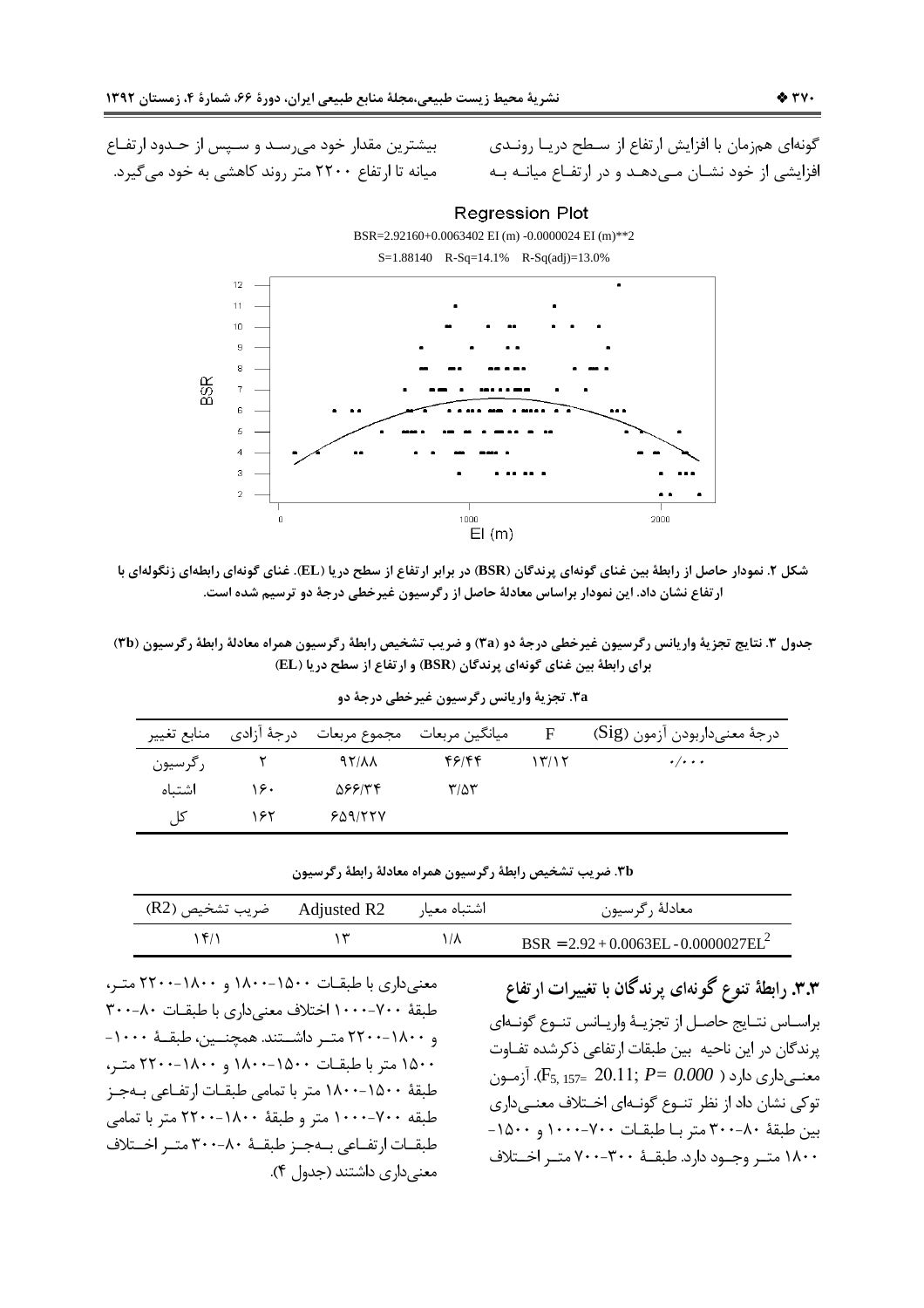بیشترین مقدار خود میرسد و سپس از حـدود ارتفـاع میانه تا ارتفاع ۲۲۰۰ متر روند کاهشی به خود می گیرد.

گونهای همزمان با افزایش ارتفاع از سطح دریـا رونـدی افزایشی از خود نشـان مـی۵هـد و در ارتفـاع میانـه بـه

**Regression Plot** 

BSR=2.92160+0.0063402 EI (m) -0.0000024 EI (m)\*\*2



شکل ۲. نمودار حاصل از رابطهٔ بین غنای گونهای پرندگان (BSR) در برابر ارتفاع از سطح دریا (EL). غنای گونهای رابطهای زنگولهای با ارتفاع نشان داد. این نمودار براساس معادلهٔ حاصل از رگرسیون غیرخطی درجهٔ دو ترسیم شده است.

جدول ٣. نتايج تجزيهٔ واريانس رگرسيون غيرخطي درجهٔ دو (٣a) و ضريب تشخيص رابطهٔ رگرسيون همراه معادلهٔ رابطهٔ رگرسيون (٣b) برای رابطهٔ بین غنای گونهای پرندگان (BSR) و ارتفاع از سطح دریا (EL)

|         |     | ميانگين مربعات مجموع مربعات درجهٔ أزادي منابع تغيير |               | F     | درجهٔ معنىداربودن آزمون (Sig) |
|---------|-----|-----------------------------------------------------|---------------|-------|-------------------------------|
| رگرسيون |     | $97/\lambda\lambda$                                 | ۴۶۱۴۴         | ۱۳/۱۲ | $\cdot/\cdot\cdot\cdot$       |
| اشتىاه  | ۱۶۰ | 568154                                              | $\frac{1}{2}$ |       |                               |
| كال     | ۱۶۲ | 509/777                                             |               |       |                               |

.<br>٢a. تجزية واريانس رگرسيون غيرخطي درجة دو

|  |  |  |  |  | ۳b. ضریب تشخیص رابطهٔ رگرسیون همراه معادلهٔ رابطهٔ رگرسیون |  |  |
|--|--|--|--|--|------------------------------------------------------------|--|--|
|  |  |  |  |  |                                                            |  |  |

|  | معادلهٔ رگرسیون                         |
|--|-----------------------------------------|
|  | $BSR = 2.92 + 0.0063EL - 0.0000027EL^2$ |

معنی داری با طبقـات ۱۵۰۰-۱۸۰۰ و ۱۸۰۰-۲۲۰۰ متـر، طبقهٔ ۷۰۰–۱۰۰۰ اختلاف معنی داری با طبقـات ۸۰–۳۰۰ و ۱۸۰۰–۲۲۰۰ متـر داشــتند. همچنــين، طبقــهٔ ۱۰۰۰-۱۵۰۰ متر با طبقـات ۱۵۰۰-۱۸۰۰ و ۲۲۰۰-۲۲۰۰ متـر، طبقهٔ ۱۵۰۰–۱۸۰۰ متر با تمامی طبقـات ارتفـاعی بـهجـز طبقه ۷۰۰-۱۰۰۰ متر و طبقهٔ ۱۸۰۰-۲۲۰۰ متر با تمامی طبقـات ارتفـاعي بــهجـز طبقــهٔ ٨٠-٣٠٠ متـر اخــتلاف معنے داری داشتند (جدول ۴).

۳.۳. رابطهٔ تنوع گونهای پرندگان با تغییرات ارتفاع براسـاس نتـايج حاصـل از تجزيــهٔ واريـانس تنــوع گونــهاى يرندگان در اين ناحيه بين طبقات ارتفاعي ذكرشده تفـاوت معنــيداري دارد ( F5, 157= 20.11;  $P = 0.000$ . آزمــون توکی نشان داد از نظر تنــوع گونــهای اخــتلاف معنــیداری بين طبقة ٨٠-٣٠٠ متر با طبقات ٧٠٠-١٠٠٠ و ١٥٠٠-۱۸۰۰ متـر وجـود دارد. طبقــهٔ ۳۰۰–۷۰۰ متـر اخــتلاف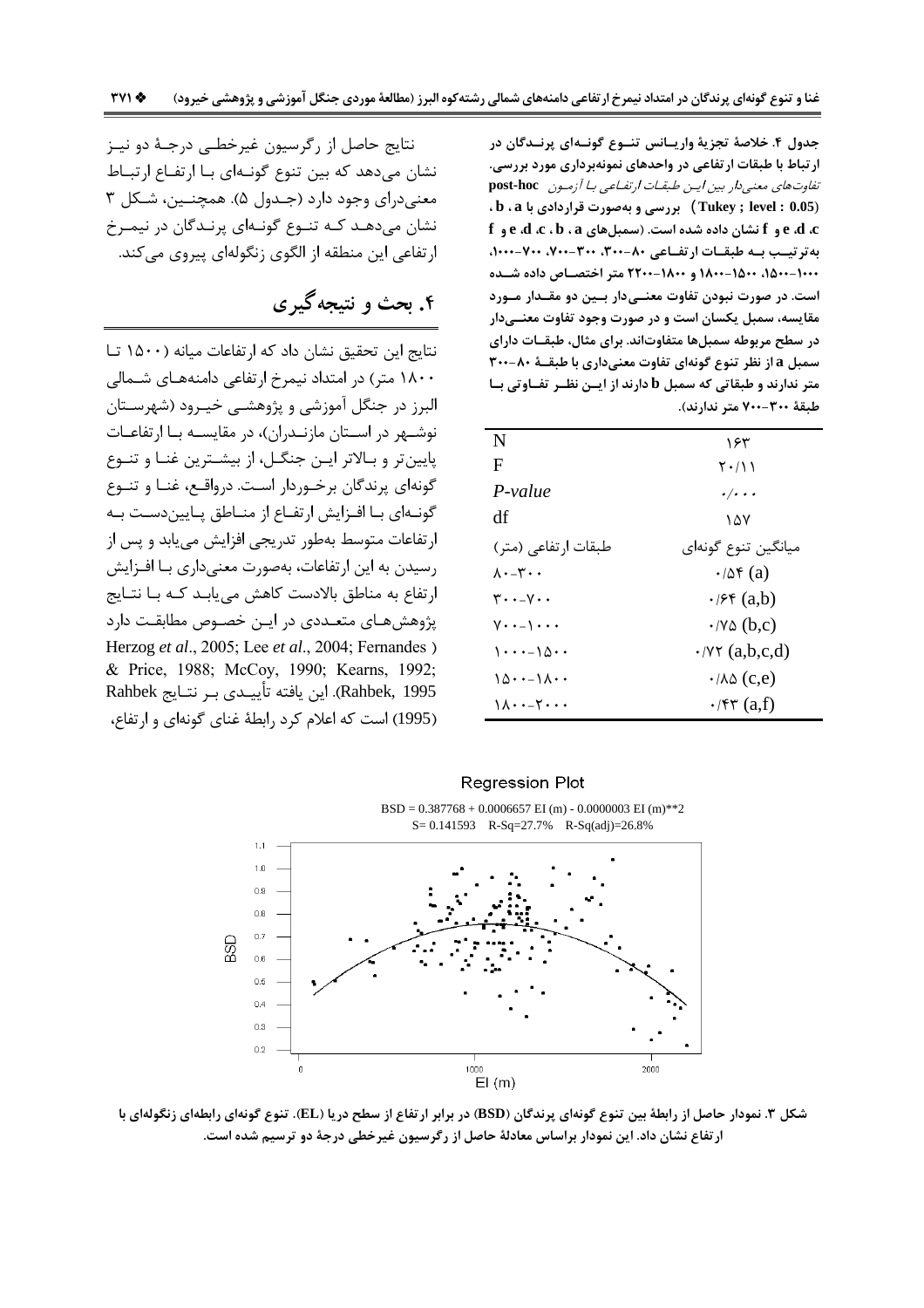جدول ۴. خلاصهٔ تجزیهٔ واریــانس تنــوع گونــهای پرنــدگان در ار تباط با طبقات ار تفاعی در واحدهای نمونهبرداری مورد بررسی. تفاوت های معنی دار بین ایس طبقیات ارتفیاعی بیا آزمیون post-hoc . b . a بررسی و بهصورت قراردادی با b . a . f و e ،d ،c ،b ، a و f نشان داده شده است. (سمبلهای e ،d ،c ، b ، a و به ترتیب به طبقات ارتفاعی ۸۰-۳۰۰، ۳۰۰-۷۰۰، ۷۰۰-۰۰۰، ۱۰۰۰-۱۵۰۰، ۱۵۰۰-۱۸۰۰ و ۱۸۰۰-۲۲۰۰ متر اختصاص داده شـده است. در صورت نبودن تفاوت معنــیدار بــین دو مقــدار مــورد مقایسه، سمبل یکسان است و در صورت وجود تفاوت معنــیدار در سطح مربوطه سمبلها متفاوتاند. برای مثال، طبقــات دارای سمبل a از نظر تنوع گونهای تفاوت معنیداری با طبقــهٔ ۸۰-۳۰۰ متر ندارند و طبقاتی که سمبل b دارند از ایـن نظـر تفـاوتی بـا طبقة ٣٠٠-٧٠٠ متر ندارند).

| N                                                           | ۱۶۳                             |
|-------------------------------------------------------------|---------------------------------|
| F                                                           | ۲۰/۱۱                           |
| $P-value$                                                   | $\cdot/\cdot$                   |
| df                                                          | ۱۵۷                             |
| طبقات ارتفاعی (متر)                                         | ميانگين تنوع گونهاي             |
| ۰۰۳∽۰۸                                                      | $\cdot$ / $\Delta f$ (a)        |
| $\mathbf{y} \cdot \mathbf{y} - \mathbf{A} \cdot \mathbf{y}$ | $\cdot$ / $\mathcal{F}$ (a,b)   |
| $V \cdot - \cdot$                                           | $\cdot$ /Y $\Delta$ (b,c)       |
| $1 \cdot \cdot \cdot - 10 \cdot \cdot$                      | $\cdot$ /YY (a,b,c,d)           |
| ۱۵۰۰–۱۸۰۰                                                   | $\cdot$ / $\wedge \wedge$ (c,e) |
| ۰۰-۲۰-۰۱۱                                                   | $\cdot$ /۴۳ (a,f)               |

نتايج حاصل از رگرسيون غيرخطـي درجـهٔ دو نيـز نشان میدهد که بین تنوع گونـهای بـا ارتفـاع ارتبــاط معنی درای وجود دارد (جـدول ۵). همچنـین، شـکل ۳ نشان میدهـد کـه تنــوع گونــهای پرنــدگان در نیمــرخ ارتفاعي اين منطقه از الگوي زنگولهاي پيروي مي كند.

# ۴. بحث و نتیجه گیری

نتايج اين تحقيق نشان داد كه ارتفاعات ميانه (١۵٠٠ تـا ۱۸۰۰ متر) در امتداد نیمرخ ارتفاعی دامنههـای شـمالی البرز در جنگل آموزشی و پژوهشـی خیـرود (شهرسـتان نوشـهر در اسـتان مازنـدران)، در مقايسـه بـا ارتفاعـات پایینتر و بالاتر ایـن جنگـل، از بیشـترین غنـا و تنـوع گونهای پرندگان برخـوردار اسـت. درواقـع، غنـا و تنـوع گونــهای بــا افــزایش ارتفــاع از منــاطق پــایین۵دســت بــه ارتفاعات متوسط بهطور تدريجي افزايش مييابد و پس از رسیدن به این ارتفاعات، بهصورت معنیداری با افـزایش ارتفاع به مناطق بالادست كاهش مي يابـد كـه بـا نتـايج پژوهش هـای متعـددی در ایـن خصـوص مطابقـت دارد Herzog et al., 2005; Lee et al., 2004; Fernandes) & Price, 1988; McCoy, 1990; Kearns, 1992; Rahbek, 1995). این یافته تأییـدی بـر نتـایج Rahbek (1995) است كه اعلام كرد رابطهٔ غنای گونهای و ارتفاع،



شکل ۳. نمودار حاصل از رابطهٔ بین تنوع گونهای پرندگان (BSD) در برابر ارتفاع از سطح دریا (EL). تنوع گونهای رابطهای زنگولهای با ارتفاع نشان داد. این نمودار براساس معادلهٔ حاصل از رگرسیون غیرخطی درجهٔ دو ترسیم شده است.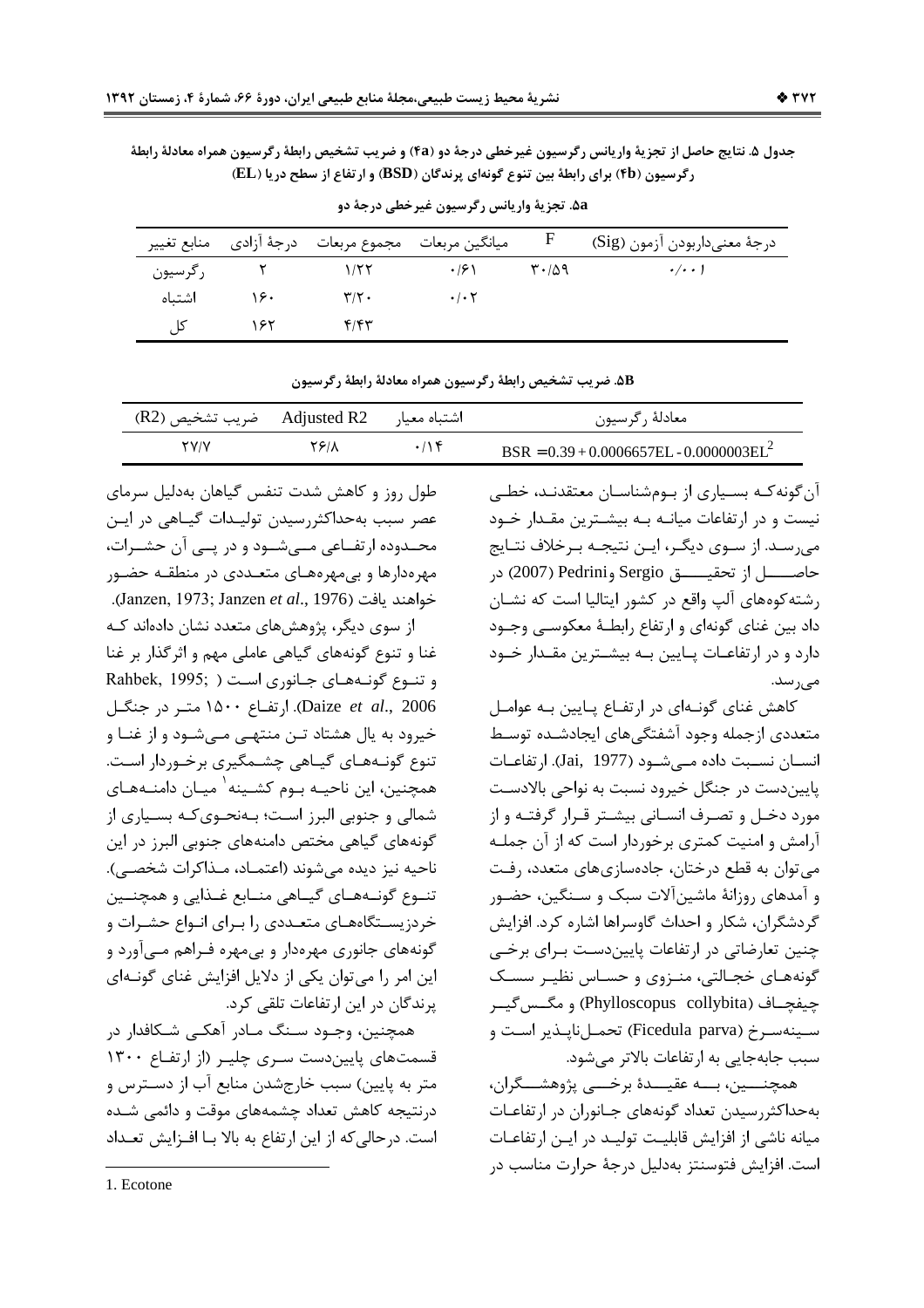جدول ۵. نتايج حاصل از تجزيهٔ واريانس رگرسيون غيرخطي درجهٔ دو (۴a) و ضريب تشخيص رابطهٔ رگرسيون همراه معادلهٔ رابطهٔ رگرسیون (۴b) برای رابطهٔ بین تنوع گونهای پرندگان (BSD) و ارتفاع از سطح دریا (EL)

|         |     |                           | ميانگين مربعات مجموع مربعات درجهٔ أزادي منابع تغيير | $\mathbf{F}$                               | درجة معنىداربودن آزمون (Sig) |
|---------|-----|---------------------------|-----------------------------------------------------|--------------------------------------------|------------------------------|
| رگرسيون |     | $\frac{1}{5}$             | $\cdot$ /2 \                                        | $\mathsf{r}\cdot\mathsf{r}\cdot\mathsf{r}$ | $\cdot/\cdot\cdot$ )         |
| اشتىاە  | ۱۶۰ | $\mathbf{r}/\mathbf{r}$ . | $\cdot$ / $\cdot$ $\cdot$                           |                                            |                              |
| کا ہ    |     | ۴/۴۳                      |                                                     |                                            |                              |

۵a. تجزيهٔ واريانس رگرسيون غيرخطي درجهٔ دو

ه. ضريب تشخيص رابطة رگرسيون همراه معادلة رابطة رگرسيون

| اشتباه معیار Adjusted R2    ضریب تشخیص (R2) |       |     | معادلهٔ رگرسیون                              |
|---------------------------------------------|-------|-----|----------------------------------------------|
| <b>YVIV</b>                                 | Y ۶/A | .78 | $BSR = 0.39 + 0.0006657EL - 0.0000003EL^{2}$ |

آن گونه کـه بسـیاری از بـومشناسـان معتقدنـد، خطـی نیست و در ارتفاعات میانـه بـه بیشـترین مقـدار خـود می رسـد. از سـوی دیگـر، ایـن نتیجـه بـرخلاف نتـایج حاصــــــل از تحقيـــــــق Sergio وPedrini) در رشته کوههای آلپ واقع در کشور ایتالیا است که نشـان داد بين غناي گونهاي و ارتفاع رابطـهٔ معکوســي وجــود دارد و در ارتفاعــات پــایین بــه بیشــترین مقــدار خــود مى ر سد.

كاهش غناي گونهاي در ارتفاع پايين به عوامل متعددي ازجمله وجود آشفتگي هاي ايجادشـده توسـط انسـان نسـبت داده مـي شـود (Jai, 1977). ارتفاعـات پاییندست در جنگل خیرود نسبت به نواحی بالادست مورد دخـل و تصـرف انسـانی بیشـتر قـرار گرفتـه و از آرامش و امنیت کمتری برخوردار است که از آن جملـه می توان به قطع درختان، جادهسازیهای متعدد، رفت و آمدهای روزانهٔ ماشین آلات سبک و سـنگین، حضـور گردشگران، شکار و احداث گاوسراها اشاره کرد. افزایش چنین تعارضاتی در ارتفاعات پاییندست بـرای برخـی گونههـای خجـالتی، منـزوی و حسـاس نظیـر سسـک چيفچــاف (Phylloscopus collybita) و مگــس گيــر سـينەسـرخ (Ficedula parva) تحمـلiايـذير اسـت و سبب جابهجایی به ارتفاعات بالاتر می شود.

همچنـــين، بـــه عقيـــدهٔ برخـــي پژوهشـــگران، بهحداکثررسیدن تعداد گونههای جـانوران در ارتفاعـات میانه ناشی از افزایش قابلیـت تولیـد در ایـن ارتفاعـات است. افزايش فتوسنتز بهدليل درجهٔ حرارت مناسب در

طول روز و كاهش شدت تنفس گیاهان بهدلیل سرمای عصر سبب به حداکثر سیدن تولیـدات گیـاهی در ایـن محـدوده ارتفــاعي مــيشــود و در پــي آن حشــرات، مهرهدارها و بی مهرههـای متعـددی در منطقـه حضـور .(Janzen, 1973; Janzen et al., 1976). از سوی دیگر، پژوهشهای متعدد نشان دادهاند کـه غنا و تنوع گونههای گیاهی عاملی مهم و اثرگذار بر غنا وتنوع گونههای جانوری است ( Rahbek, 1995; Daize et al., 2006). ارتفـاع ١۵٠٠ متـر در جنگـل خيرود به پال هشتاد تـن منتهـي مـي شـود و از غنـا و تنوع گونـههـای گیـاهی چشـمگیری برخـوردار اسـت. همچنین، این ناحیــه بــوم کشــینه ٰ میــان دامنــههــای شمالي و جنوبي البرز است؛ بـهنحـوي كـه بسـياري از گونههای گیاهی مختص دامنههای جنوبی البرز در این ناحيه نيز ديده مي شوند (اعتمــاد، مــذاكرات شخصــي). تنوع گونـههـای گیـاهی منـابع غـذایی و همچنـین خردزیسـتگاههـای متعـددی را بـرای انـواع حشـرات و گونههای جانوری مهرهدار و بیمهره فـراهم مـیآورد و این امر را می توان یکی از دلایل افزایش غنای گونـهای پرندگان در این ارتفاعات تلقی کرد.

همچنین، وجــود ســنگ مــادر آهکــی شــکافدار در قسمتهای پایین دست سری چلیـر (از ارتفـاع ۱۳۰۰ متر به پایین) سبب خارجشدن منابع آب از دسـترس و درنتیجه کاهش تعداد چشمههای موقت و دائمی شـده است. درحالی که از این ارتفاع به بالا بـا افـزایش تعـداد

 $1$  Ecotone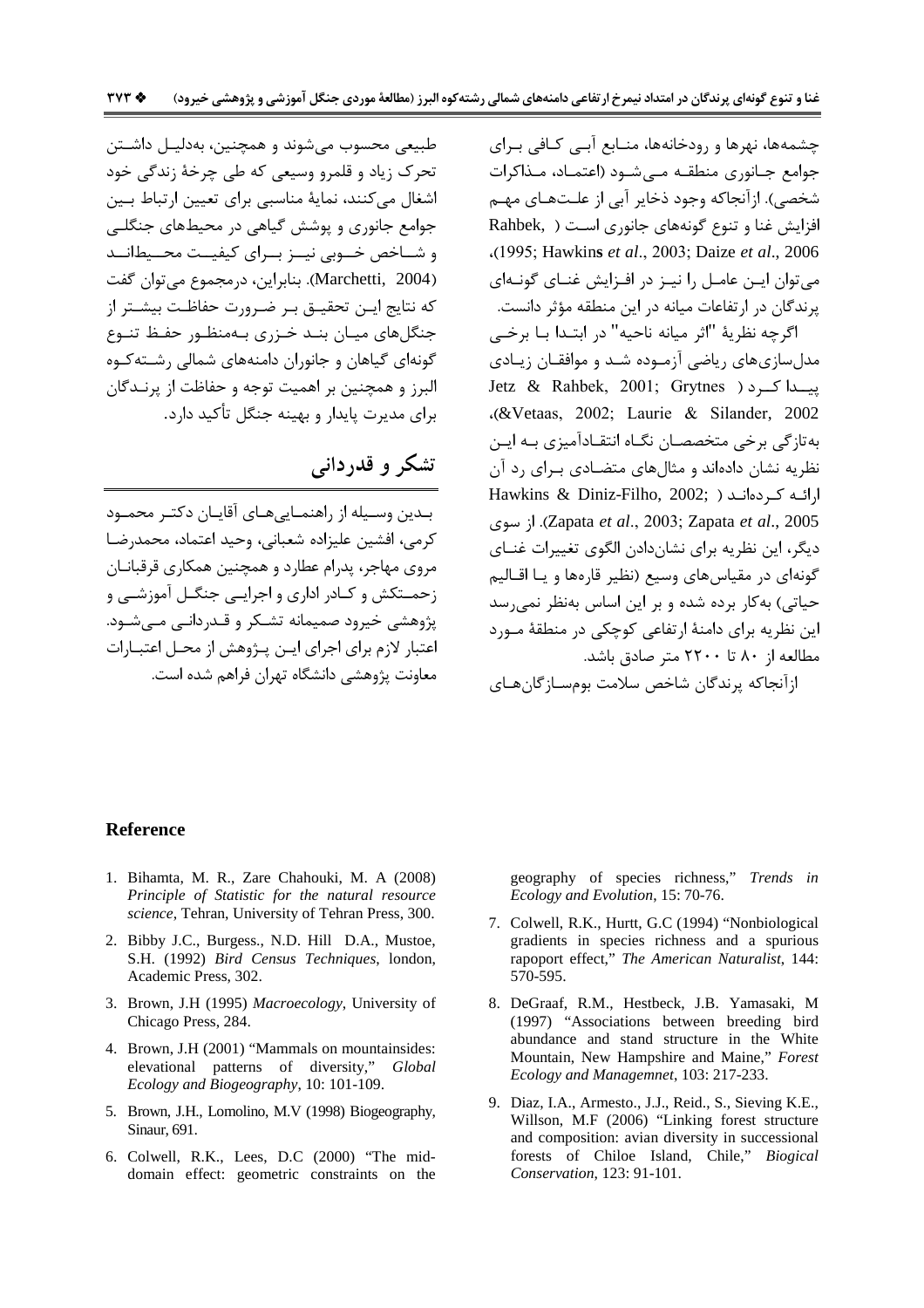چشمهها، نهرها و رودخانهها، منـابع آبـی کـافی بـرای جوامع جـانوري منطقــه مــى شــود (اعتمــاد، مــذاكرات شخصی). ازآنجاکه وجود ذخایر آبی از علـتهـای مهـم افزایش غنا و تنوع گونههای جانوری است ( Rahbek, (1995; Hawkins et al., 2003; Daize et al., 2006). می توان ایــن عامــل را نیــز در افــزایش غنــای گونــهای يرندگان در ارتفاعات ميانه در اين منطقه مؤثر دانست.

اگرچه نظريهٔ "اثر ميانه ناحيه" در ابتـدا بـا برخـي مدلسازیهای ریاضی آزموده شـد و موافقـان زیـادی پیسدا کسرد ( Jetz & Rahbek, 2001; Grytnes (&Vetaas, 2002; Laurie & Silander, 2002). بهتازگی برخی متخصصان نگـاه انتقـادآمیزی بـه ایـن نظریه نشان دادهاند و مثال های متضـادی بـرای رد آن Hawkins & Diniz-Filho, 2002; ) ارائه کردهاند 2005). از سوی Zapata et al., 2003; Zapata et al., 2005). از دیگر، این نظریه برای نشاندادن الگوی تغییرات غنــای گونهای در مقیاس های وسیع (نظیر قارهها و یـا اقـالیم حیاتی) به کار برده شده و بر این اساس بهنظر نمی رسد این نظریه برای دامنهٔ ارتفاعی کوچکی در منطقهٔ مـورد مطالعه از ۸۰ تا ۲۲۰۰ متر صادق باشد.

ازآنجاكه يرندگان شاخص سلامت بومسـازگانهـاي

طبيعي محسوب مي شوند و همچنين، بهدليـل داشـتن تحرک زیاد و قلمرو وسیعی که طی چرخهٔ زندگی خود اشغال می کنند، نمایهٔ مناسبی برای تعیین ارتباط بـین جوامع جانوری و پوشش گیاهی در محیطهای جنگلے و شــاخص خــوبي نيــز بــراي كيفيــت محــيطانــد (Marchetti, 2004). بنابراین، درمجموع می توان گفت كه نتايج ايـن تحقيـق بـر ضـرورت حفاظـت بيشـتر از جنگلهای میـان بنـد خـزری بـهمنظـور حفـظ تنـوع گونهای گیاهان و جانوران دامنههای شمالی رشته کوه البرز و همچنین بر اهمیت توجه و حفاظت از پرنــدگان برای مدیرت پایدار و بهینه جنگل تأکید دارد.

# تشکر و قدردانی

بـدين وسـيله از راهنمـايي هـاي آقايـان دكتـر محمـود كرمي، افشين عليزاده شعباني، وحيد اعتماد، محمد,ضا مروی مهاجر، پدرام عطارد و همچنین همکاری قرقبانـان زحمــتکش و کــادر اداری و اجرایــی جنگــل آموزشــی و یژوهشی خیرود صمیمانه تشکر و قـدردانـی مــی شـود. اعتبار لازم برای اجرای ایــن پــژوهش از محــل اعتبــارات معاونت پژوهشے دانشگاه تهران فراهم شده است.

#### **Reference**

- 1. Bihamta, M. R., Zare Chahouki, M. A (2008) Principle of Statistic for the natural resource science, Tehran, University of Tehran Press, 300.
- 2. Bibby J.C., Burgess., N.D. Hill D.A., Mustoe, S.H. (1992) Bird Census Techniques, london, Academic Press, 302.
- 3. Brown, J.H (1995) Macroecology, University of Chicago Press, 284.
- 4. Brown, J.H (2001) "Mammals on mountainsides: elevational patterns of diversity," Global Ecology and Biogeography, 10: 101-109.
- 5. Brown, J.H., Lomolino, M.V (1998) Biogeography, Sinaur, 691.
- 6. Colwell, R.K., Lees, D.C (2000) "The middomain effect: geometric constraints on the

geography of species richness," Trends in Ecology and Evolution, 15: 70-76.

- 7. Colwell, R.K., Hurtt, G.C (1994) "Nonbiological gradients in species richness and a spurious rapoport effect," The American Naturalist, 144: 570-595.
- 8. DeGraaf, R.M., Hestbeck, J.B. Yamasaki, M (1997) "Associations between breeding bird abundance and stand structure in the White Mountain, New Hampshire and Maine," Forest Ecology and Managemnet, 103: 217-233.
- 9. Diaz, I.A., Armesto., J.J., Reid., S., Sieving K.E., Willson, M.F (2006) "Linking forest structure and composition: avian diversity in successional forests of Chiloe Island, Chile," Biogical Conservation, 123: 91-101.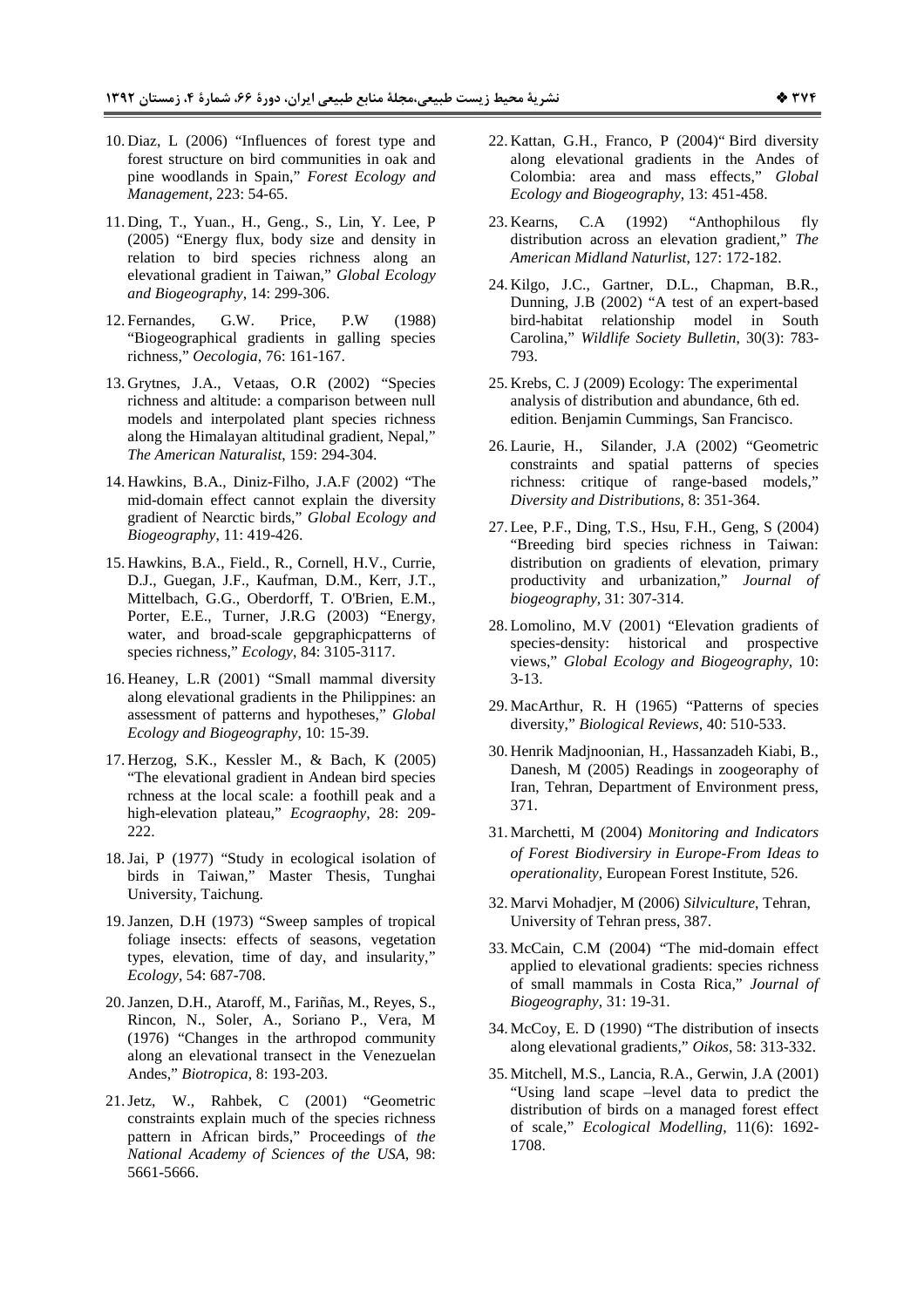- 10. Diaz, L (2006) "Influences of forest type and forest structure on bird communities in oak and pine woodlands in Spain," *Forest Ecology and Management*, 223: 54-65.
- 11. Ding, T., Yuan., H., Geng., S., Lin, Y. Lee, P (2005) "Energy flux, body size and density in relation to bird species richness along an elevational gradient in Taiwan," *Global Ecology and Biogeography*, 14: 299-306.
- 12. Fernandes, G.W. Price, P.W (1988) "Biogeographical gradients in galling species richness," *Oecologia*, 76: 161-167.
- 13. Grytnes, J.A., Vetaas, O.R (2002) "Species richness and altitude: a comparison between null models and interpolated plant species richness along the Himalayan altitudinal gradient, Nepal," *The American Naturalist*, 159: 294-304.
- 14. Hawkins, B.A., Diniz-Filho, J.A.F (2002) "The mid-domain effect cannot explain the diversity gradient of Nearctic birds," *Global Ecology and Biogeography*, 11: 419-426.
- 15. Hawkins, B.A., Field., R., Cornell, H.V., Currie, D.J., Guegan, J.F., Kaufman, D.M., Kerr, J.T., Mittelbach, G.G., Oberdorff, T. O'Brien, E.M., Porter, E.E., Turner, J.R.G (2003) "Energy, water, and broad-scale gepgraphicpatterns of species richness," *Ecology*, 84: 3105-3117.
- 16. Heaney, L.R (2001) "Small mammal diversity along elevational gradients in the Philippines: an assessment of patterns and hypotheses," *Global Ecology and Biogeography*, 10: 15-39.
- 17. Herzog, S.K., Kessler M., & Bach, K (2005) "The elevational gradient in Andean bird species rchness at the local scale: a foothill peak and a high-elevation plateau," *Ecograophy*, 28: 209- 222.
- 18.Jai, P (1977) "Study in ecological isolation of birds in Taiwan," Master Thesis, Tunghai University, Taichung.
- 19.Janzen, D.H (1973) "Sweep samples of tropical foliage insects: effects of seasons, vegetation types, elevation, time of day, and insularity," *Ecology*, 54: 687-708.
- 20.Janzen, D.H., Ataroff, M., Fariñas, M., Reyes, S., Rincon, N., Soler, A., Soriano P., Vera, M (1976) "Changes in the arthropod community along an elevational transect in the Venezuelan Andes," *Biotropica*, 8: 193-203.
- 21.Jetz, W., Rahbek, C (2001) "Geometric constraints explain much of the species richness pattern in African birds," Proceedings of *the National Academy of Sciences of the USA*, 98: 5661-5666.
- 22. Kattan, G.H., Franco, P (2004)" Bird diversity along elevational gradients in the Andes of Colombia: area and mass effects," *Global Ecology and Biogeography*, 13: 451-458.
- 23. Kearns, C.A (1992) "Anthophilous fly distribution across an elevation gradient," *The American Midland Naturlist*, 127: 172-182.
- 24. Kilgo, J.C., Gartner, D.L., Chapman, B.R., Dunning, J.B (2002) "A test of an expert-based bird-habitat relationship model in South Carolina," *Wildlife Society Bulletin*, 30(3): 783- 793.
- 25. Krebs, C. J (2009) Ecology: The experimental analysis of distribution and abundance, 6th ed. edition. Benjamin Cummings, San Francisco.
- 26. Laurie, H., Silander, J.A (2002) "Geometric constraints and spatial patterns of species richness: critique of range-based models," *Diversity and Distributions*, 8: 351-364.
- 27. Lee, P.F., Ding, T.S., Hsu, F.H., Geng, S (2004) "Breeding bird species richness in Taiwan: distribution on gradients of elevation, primary productivity and urbanization," *Journal of biogeography*, 31: 307-314.
- 28. Lomolino, M.V (2001) "Elevation gradients of species-density: historical and prospective views," *Global Ecology and Biogeography*, 10: 3-13.
- 29. MacArthur, R. H (1965) "Patterns of species diversity," *Biological Reviews*, 40: 510-533.
- 30. Henrik Madjnoonian, H., Hassanzadeh Kiabi, B., Danesh, M (2005) Readings in zoogeoraphy of Iran, Tehran, Department of Environment press, 371.
- 31. Marchetti, M (2004) *Monitoring and Indicators of Forest Biodiversiry in Europe-From Ideas to operationality*, European Forest Institute, 526.
- 32. Marvi Mohadjer, M (2006) *Silviculture*, Tehran, University of Tehran press, 387.
- 33. McCain, C.M (2004) "The mid-domain effect applied to elevational gradients: species richness of small mammals in Costa Rica," *Journal of Biogeography*, 31: 19-31.
- 34. McCoy, E. D (1990) "The distribution of insects along elevational gradients," *Oikos*, 58: 313-332.
- 35. Mitchell, M.S., Lancia, R.A., Gerwin, J.A (2001) "Using land scape –level data to predict the distribution of birds on a managed forest effect of scale," *Ecological Modelling*, 11(6): 1692- 1708.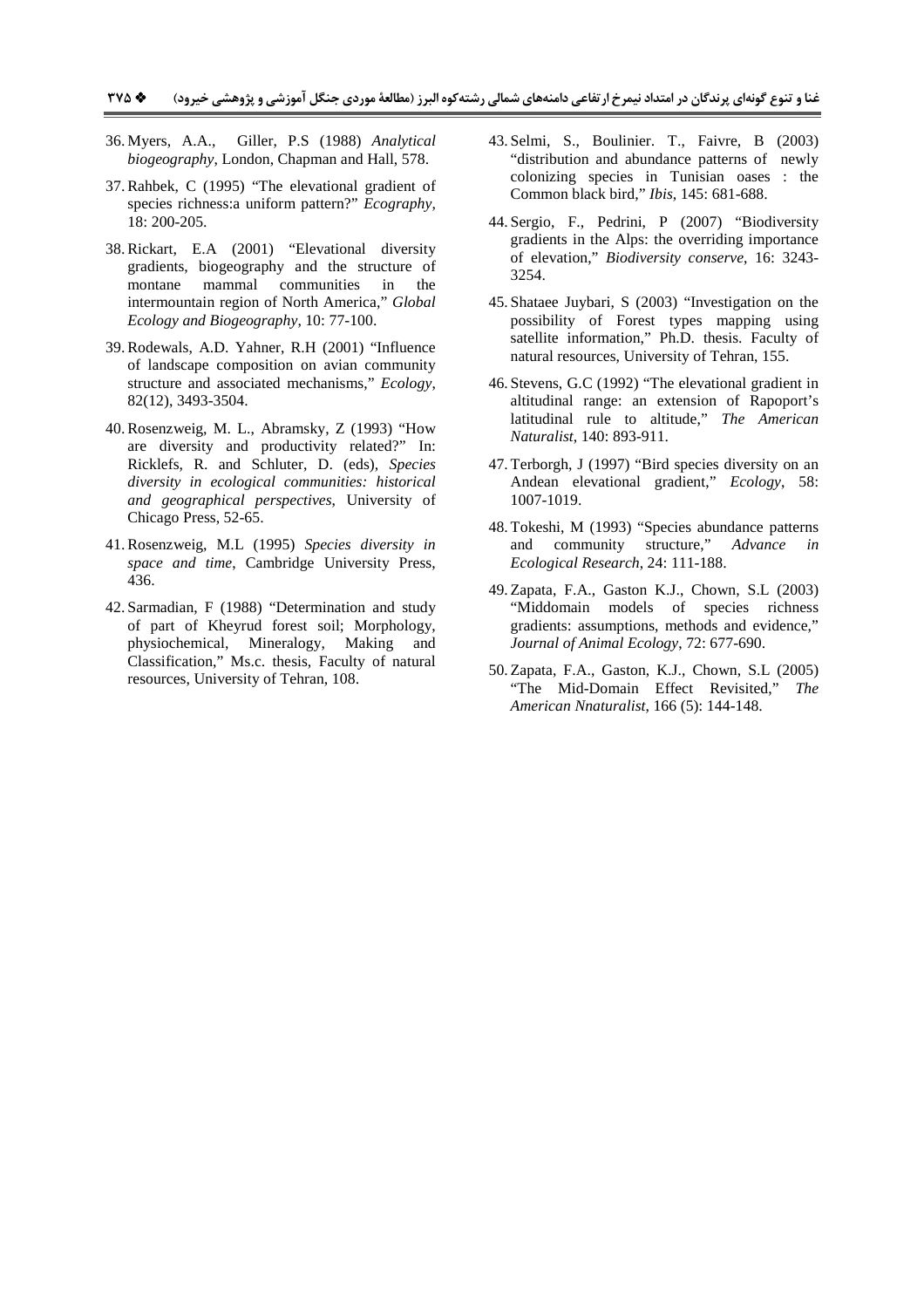- 36. Myers, A.A., Giller, P.S (1988) *Analytical biogeography*, London, Chapman and Hall, 578.
- 37.Rahbek, C (1995) "The elevational gradient of species richness:a uniform pattern?" *Ecography*, 18: 200-205.
- 38.Rickart, E.A (2001) "Elevational diversity gradients, biogeography and the structure of montane mammal communities in the intermountain region of North America," *Global Ecology and Biogeography*, 10: 77-100.
- 39.Rodewals, A.D. Yahner, R.H (2001) "Influence of landscape composition on avian community structure and associated mechanisms," *Ecology*, 82(12), 3493-3504.
- 40.Rosenzweig, M. L., Abramsky, Z (1993) "How are diversity and productivity related?" In: Ricklefs, R. and Schluter, D. (eds), *Species diversity in ecological communities: historical and geographical perspectives*, University of Chicago Press, 52-65.
- 41.Rosenzweig, M.L (1995) *Species diversity in space and time*, Cambridge University Press, 436.
- 42. Sarmadian, F (1988) "Determination and study of part of Kheyrud forest soil; Morphology, physiochemical, Mineralogy, Making and Classification," Ms.c. thesis, Faculty of natural resources, University of Tehran, 108.
- 43. Selmi, S., Boulinier. T., Faivre, B (2003) "distribution and abundance patterns of newly colonizing species in Tunisian oases : the Common black bird," *Ibis*, 145: 681-688.
- 44. Sergio, F., Pedrini, P (2007) "Biodiversity gradients in the Alps: the overriding importance of elevation," *Biodiversity conserve*, 16: 3243- 3254.
- 45. Shataee Juybari, S (2003) "Investigation on the possibility of Forest types mapping using satellite information," Ph.D. thesis. Faculty of natural resources, University of Tehran, 155.
- 46. Stevens, G.C (1992) "The elevational gradient in altitudinal range: an extension of Rapoport's latitudinal rule to altitude," *The American Naturalist*, 140: 893-911.
- 47. Terborgh, J (1997) "Bird species diversity on an Andean elevational gradient," *Ecology*, 58: 1007-1019.
- 48. Tokeshi, M (1993) "Species abundance patterns and community structure," *Advance in Ecological Research*, 24: 111-188.
- 49. Zapata, F.A., Gaston K.J., Chown, S.L (2003) "Middomain models of species richness gradients: assumptions, methods and evidence," *Journal of Animal Ecology*, 72: 677-690.
- 50. Zapata, F.A., Gaston, K.J., Chown, S.L (2005) "The Mid-Domain Effect Revisited," *The American Nnaturalist*, 166 (5): 144-148.